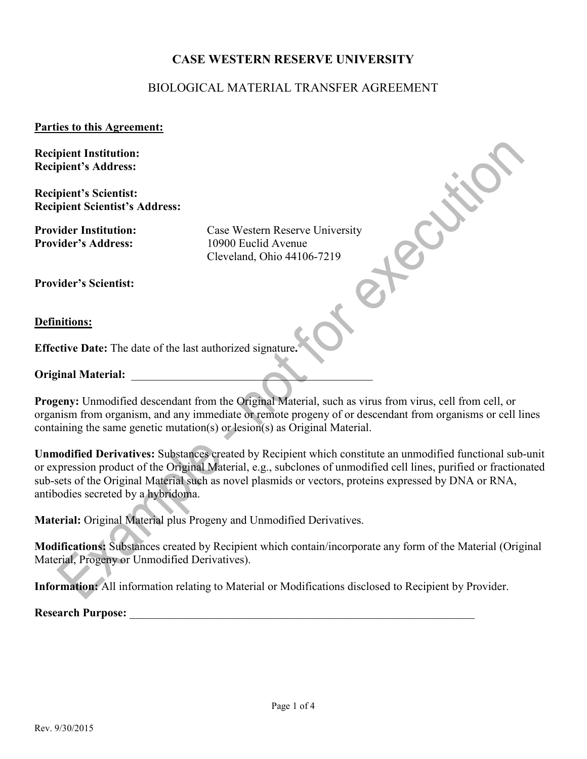## **CASE WESTERN RESERVE UNIVERSITY**

## BIOLOGICAL MATERIAL TRANSFER AGREEMENT

## **Parties to this Agreement:**

**Recipient Institution: Recipient's Address:**

**Recipient's Scientist: Recipient Scientist's Address:** 

**Provider's Address:** 10900 Euclid Avenue

**Provider Institution:** Case Western Reserve University Cleveland, Ohio 44106-7219

**Provider's Scientist:**

**Definitions:**

**Effective Date:** The date of the last authorized signature**.**

**Original Material:** 

**Progeny:** Unmodified descendant from the Original Material, such as virus from virus, cell from cell, or organism from organism, and any immediate or remote progeny of or descendant from organisms or cell lines containing the same genetic mutation(s) or lesion(s) as Original Material.

**Unmodified Derivatives:** Substances created by Recipient which constitute an unmodified functional sub-unit or expression product of the Original Material, e.g., subclones of unmodified cell lines, purified or fractionated sub-sets of the Original Material such as novel plasmids or vectors, proteins expressed by DNA or RNA, antibodies secreted by a hybridoma.

**Material:** Original Material plus Progeny and Unmodified Derivatives.

**Modifications:** Substances created by Recipient which contain/incorporate any form of the Material (Original Material, Progeny or Unmodified Derivatives).

**Information:** All information relating to Material or Modifications disclosed to Recipient by Provider.

**Research Purpose:**  $\blacksquare$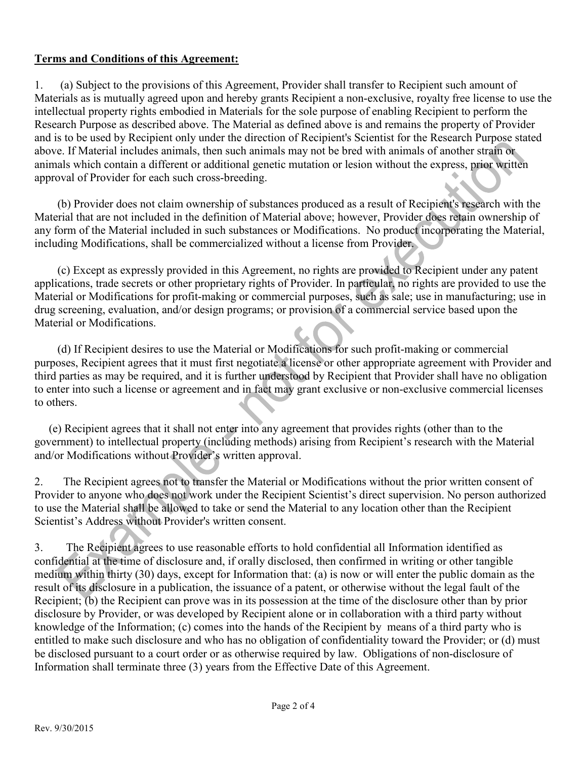## **Terms and Conditions of this Agreement:**

1. (a) Subject to the provisions of this Agreement, Provider shall transfer to Recipient such amount of Materials as is mutually agreed upon and hereby grants Recipient a non-exclusive, royalty free license to use the intellectual property rights embodied in Materials for the sole purpose of enabling Recipient to perform the Research Purpose as described above. The Material as defined above is and remains the property of Provider and is to be used by Recipient only under the direction of Recipient's Scientist for the Research Purpose stated above. If Material includes animals, then such animals may not be bred with animals of another strain or animals which contain a different or additional genetic mutation or lesion without the express, prior written approval of Provider for each such cross-breeding.

 (b) Provider does not claim ownership of substances produced as a result of Recipient's research with the Material that are not included in the definition of Material above; however, Provider does retain ownership of any form of the Material included in such substances or Modifications. No product incorporating the Material, including Modifications, shall be commercialized without a license from Provider.

 (c) Except as expressly provided in this Agreement, no rights are provided to Recipient under any patent applications, trade secrets or other proprietary rights of Provider. In particular, no rights are provided to use the Material or Modifications for profit-making or commercial purposes, such as sale; use in manufacturing; use in drug screening, evaluation, and/or design programs; or provision of a commercial service based upon the Material or Modifications.

 (d) If Recipient desires to use the Material or Modifications for such profit-making or commercial purposes, Recipient agrees that it must first negotiate a license or other appropriate agreement with Provider and third parties as may be required, and it is further understood by Recipient that Provider shall have no obligation to enter into such a license or agreement and in fact may grant exclusive or non-exclusive commercial licenses to others.

 (e) Recipient agrees that it shall not enter into any agreement that provides rights (other than to the government) to intellectual property (including methods) arising from Recipient's research with the Material and/or Modifications without Provider's written approval.

2. The Recipient agrees not to transfer the Material or Modifications without the prior written consent of Provider to anyone who does not work under the Recipient Scientist's direct supervision. No person authorized to use the Material shall be allowed to take or send the Material to any location other than the Recipient Scientist's Address without Provider's written consent.

3. The Recipient agrees to use reasonable efforts to hold confidential all Information identified as confidential at the time of disclosure and, if orally disclosed, then confirmed in writing or other tangible medium within thirty (30) days, except for Information that: (a) is now or will enter the public domain as the result of its disclosure in a publication, the issuance of a patent, or otherwise without the legal fault of the Recipient; (b) the Recipient can prove was in its possession at the time of the disclosure other than by prior disclosure by Provider, or was developed by Recipient alone or in collaboration with a third party without knowledge of the Information; (c) comes into the hands of the Recipient by means of a third party who is entitled to make such disclosure and who has no obligation of confidentiality toward the Provider; or (d) must be disclosed pursuant to a court order or as otherwise required by law. Obligations of non-disclosure of Information shall terminate three (3) years from the Effective Date of this Agreement.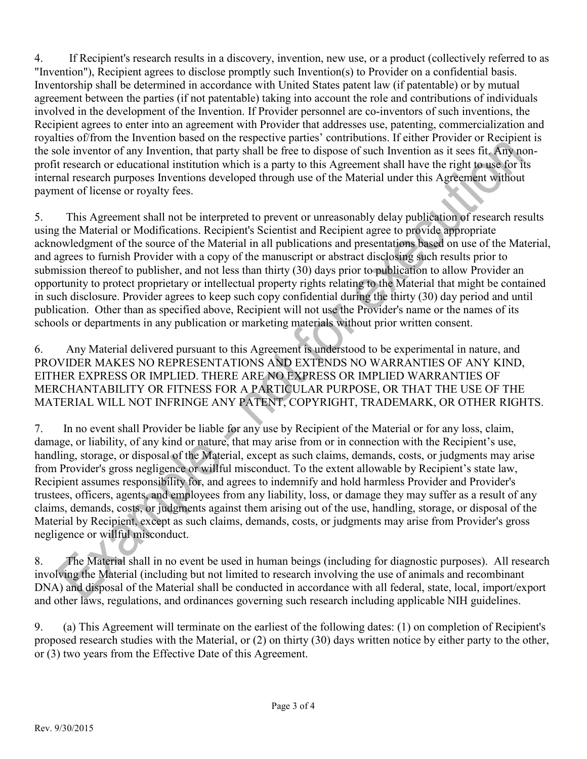4. If Recipient's research results in a discovery, invention, new use, or a product (collectively referred to as "Invention"), Recipient agrees to disclose promptly such Invention(s) to Provider on a confidential basis. Inventorship shall be determined in accordance with United States patent law (if patentable) or by mutual agreement between the parties (if not patentable) taking into account the role and contributions of individuals involved in the development of the Invention. If Provider personnel are co-inventors of such inventions, the Recipient agrees to enter into an agreement with Provider that addresses use, patenting, commercialization and royalties of/from the Invention based on the respective parties' contributions. If either Provider or Recipient is the sole inventor of any Invention, that party shall be free to dispose of such Invention as it sees fit. Any nonprofit research or educational institution which is a party to this Agreement shall have the right to use for its internal research purposes Inventions developed through use of the Material under this Agreement without payment of license or royalty fees.

5. This Agreement shall not be interpreted to prevent or unreasonably delay publication of research results using the Material or Modifications. Recipient's Scientist and Recipient agree to provide appropriate acknowledgment of the source of the Material in all publications and presentations based on use of the Material, and agrees to furnish Provider with a copy of the manuscript or abstract disclosing such results prior to submission thereof to publisher, and not less than thirty (30) days prior to publication to allow Provider an opportunity to protect proprietary or intellectual property rights relating to the Material that might be contained in such disclosure. Provider agrees to keep such copy confidential during the thirty (30) day period and until publication. Other than as specified above, Recipient will not use the Provider's name or the names of its schools or departments in any publication or marketing materials without prior written consent.

6. Any Material delivered pursuant to this Agreement is understood to be experimental in nature, and PROVIDER MAKES NO REPRESENTATIONS AND EXTENDS NO WARRANTIES OF ANY KIND, EITHER EXPRESS OR IMPLIED. THERE ARE NO EXPRESS OR IMPLIED WARRANTIES OF MERCHANTABILITY OR FITNESS FOR A PARTICULAR PURPOSE, OR THAT THE USE OF THE MATERIAL WILL NOT INFRINGE ANY PATENT, COPYRIGHT, TRADEMARK, OR OTHER RIGHTS.

7. In no event shall Provider be liable for any use by Recipient of the Material or for any loss, claim, damage, or liability, of any kind or nature, that may arise from or in connection with the Recipient's use, handling, storage, or disposal of the Material, except as such claims, demands, costs, or judgments may arise from Provider's gross negligence or willful misconduct. To the extent allowable by Recipient's state law, Recipient assumes responsibility for, and agrees to indemnify and hold harmless Provider and Provider's trustees, officers, agents, and employees from any liability, loss, or damage they may suffer as a result of any claims, demands, costs, or judgments against them arising out of the use, handling, storage, or disposal of the Material by Recipient, except as such claims, demands, costs, or judgments may arise from Provider's gross negligence or willful misconduct.

8. The Material shall in no event be used in human beings (including for diagnostic purposes). All research involving the Material (including but not limited to research involving the use of animals and recombinant DNA) and disposal of the Material shall be conducted in accordance with all federal, state, local, import/export and other laws, regulations, and ordinances governing such research including applicable NIH guidelines.

9. (a) This Agreement will terminate on the earliest of the following dates: (1) on completion of Recipient's proposed research studies with the Material, or (2) on thirty (30) days written notice by either party to the other, or (3) two years from the Effective Date of this Agreement.